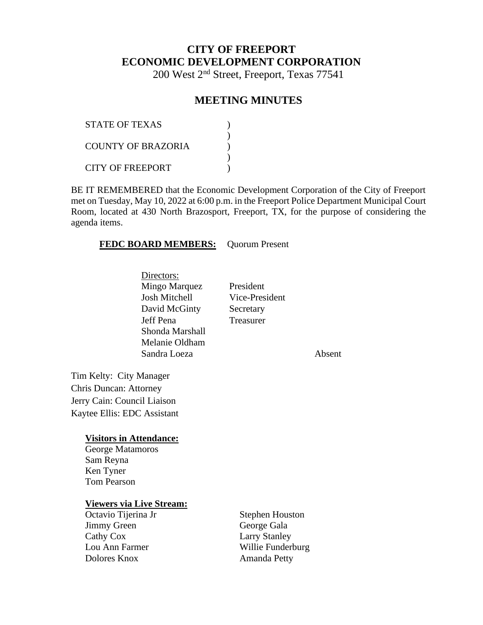# **CITY OF FREEPORT ECONOMIC DEVELOPMENT CORPORATION**

200 West 2nd Street, Freeport, Texas 77541

### **MEETING MINUTES**

| <b>STATE OF TEXAS</b> |  |
|-----------------------|--|
| COUNTY OF BRAZORIA    |  |
| CITY OF FREEPORT      |  |

BE IT REMEMBERED that the Economic Development Corporation of the City of Freeport met on Tuesday, May 10, 2022 at 6:00 p.m. in the Freeport Police Department Municipal Court Room, located at 430 North Brazosport, Freeport, TX, for the purpose of considering the agenda items.

#### **FEDC BOARD MEMBERS:** Quorum Present

Directors: Mingo Marquez President Josh Mitchell Vice-President David McGinty Secretary Jeff Pena Treasurer Shonda Marshall Melanie Oldham Sandra Loeza **Absent** 

Tim Kelty: City Manager Chris Duncan: Attorney Jerry Cain: Council Liaison Kaytee Ellis: EDC Assistant

#### **Visitors in Attendance:**

George Matamoros Sam Reyna Ken Tyner Tom Pearson

#### **Viewers via Live Stream:**

| Octavio Tijerina Jr | <b>Stephen Houston</b> |
|---------------------|------------------------|
| Jimmy Green         | George Gala            |
| Cathy Cox           | <b>Larry Stanley</b>   |
| Lou Ann Farmer      | Willie Funderburg      |
| Dolores Knox        | Amanda Petty           |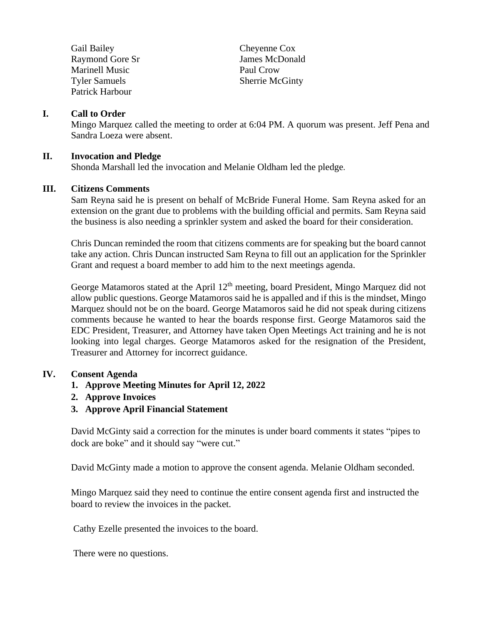| Gail Bailey            |
|------------------------|
| <b>Raymond Gore Sr</b> |
| Marinell Music         |
| <b>Tyler Samuels</b>   |
| Patrick Harbour        |

Cheyenne Cox James McDonald Paul Crow Sherrie McGinty

#### **I. Call to Order**

Mingo Marquez called the meeting to order at 6:04 PM. A quorum was present. Jeff Pena and Sandra Loeza were absent.

#### **II. Invocation and Pledge**

Shonda Marshall led the invocation and Melanie Oldham led the pledge.

#### **III. Citizens Comments**

Sam Reyna said he is present on behalf of McBride Funeral Home. Sam Reyna asked for an extension on the grant due to problems with the building official and permits. Sam Reyna said the business is also needing a sprinkler system and asked the board for their consideration.

Chris Duncan reminded the room that citizens comments are for speaking but the board cannot take any action. Chris Duncan instructed Sam Reyna to fill out an application for the Sprinkler Grant and request a board member to add him to the next meetings agenda.

George Matamoros stated at the April  $12<sup>th</sup>$  meeting, board President, Mingo Marquez did not allow public questions. George Matamoros said he is appalled and if this is the mindset, Mingo Marquez should not be on the board. George Matamoros said he did not speak during citizens comments because he wanted to hear the boards response first. George Matamoros said the EDC President, Treasurer, and Attorney have taken Open Meetings Act training and he is not looking into legal charges. George Matamoros asked for the resignation of the President, Treasurer and Attorney for incorrect guidance.

#### **IV. Consent Agenda**

- **1. Approve Meeting Minutes for April 12, 2022**
- **2. Approve Invoices**
- **3. Approve April Financial Statement**

David McGinty said a correction for the minutes is under board comments it states "pipes to dock are boke" and it should say "were cut."

David McGinty made a motion to approve the consent agenda. Melanie Oldham seconded.

Mingo Marquez said they need to continue the entire consent agenda first and instructed the board to review the invoices in the packet.

Cathy Ezelle presented the invoices to the board.

There were no questions.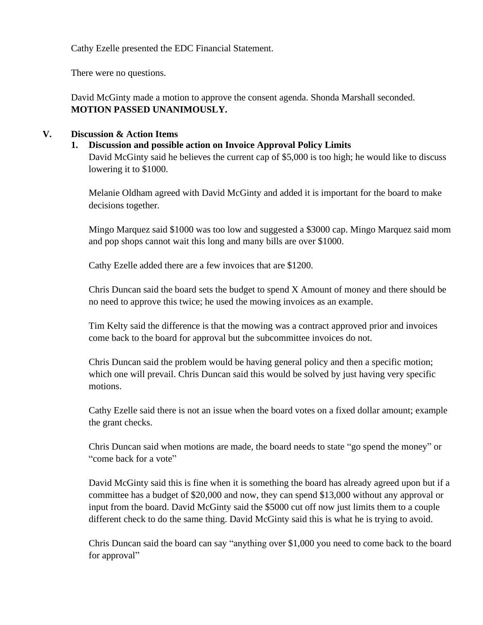Cathy Ezelle presented the EDC Financial Statement.

There were no questions.

David McGinty made a motion to approve the consent agenda. Shonda Marshall seconded. **MOTION PASSED UNANIMOUSLY.**

### **V. Discussion & Action Items**

### **1. Discussion and possible action on Invoice Approval Policy Limits**

David McGinty said he believes the current cap of \$5,000 is too high; he would like to discuss lowering it to \$1000.

Melanie Oldham agreed with David McGinty and added it is important for the board to make decisions together.

Mingo Marquez said \$1000 was too low and suggested a \$3000 cap. Mingo Marquez said mom and pop shops cannot wait this long and many bills are over \$1000.

Cathy Ezelle added there are a few invoices that are \$1200.

Chris Duncan said the board sets the budget to spend X Amount of money and there should be no need to approve this twice; he used the mowing invoices as an example.

Tim Kelty said the difference is that the mowing was a contract approved prior and invoices come back to the board for approval but the subcommittee invoices do not.

Chris Duncan said the problem would be having general policy and then a specific motion; which one will prevail. Chris Duncan said this would be solved by just having very specific motions.

Cathy Ezelle said there is not an issue when the board votes on a fixed dollar amount; example the grant checks.

Chris Duncan said when motions are made, the board needs to state "go spend the money" or "come back for a vote"

David McGinty said this is fine when it is something the board has already agreed upon but if a committee has a budget of \$20,000 and now, they can spend \$13,000 without any approval or input from the board. David McGinty said the \$5000 cut off now just limits them to a couple different check to do the same thing. David McGinty said this is what he is trying to avoid.

Chris Duncan said the board can say "anything over \$1,000 you need to come back to the board for approval"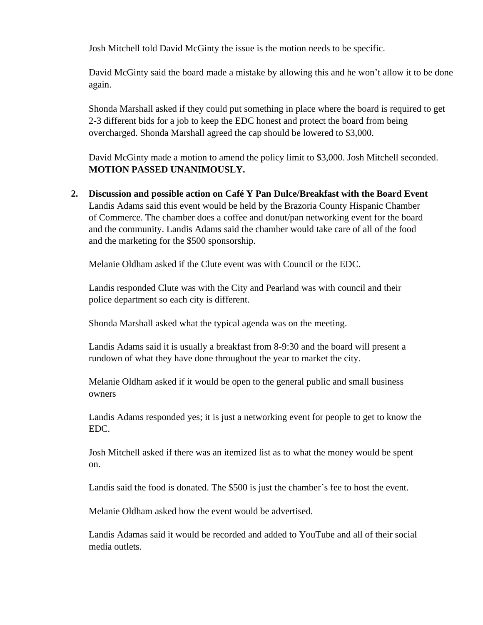Josh Mitchell told David McGinty the issue is the motion needs to be specific.

David McGinty said the board made a mistake by allowing this and he won't allow it to be done again.

Shonda Marshall asked if they could put something in place where the board is required to get 2-3 different bids for a job to keep the EDC honest and protect the board from being overcharged. Shonda Marshall agreed the cap should be lowered to \$3,000.

David McGinty made a motion to amend the policy limit to \$3,000. Josh Mitchell seconded. **MOTION PASSED UNANIMOUSLY.**

**2. Discussion and possible action on Café Y Pan Dulce/Breakfast with the Board Event**  Landis Adams said this event would be held by the Brazoria County Hispanic Chamber of Commerce. The chamber does a coffee and donut/pan networking event for the board and the community. Landis Adams said the chamber would take care of all of the food and the marketing for the \$500 sponsorship.

Melanie Oldham asked if the Clute event was with Council or the EDC.

Landis responded Clute was with the City and Pearland was with council and their police department so each city is different.

Shonda Marshall asked what the typical agenda was on the meeting.

Landis Adams said it is usually a breakfast from 8-9:30 and the board will present a rundown of what they have done throughout the year to market the city.

Melanie Oldham asked if it would be open to the general public and small business owners

Landis Adams responded yes; it is just a networking event for people to get to know the EDC.

Josh Mitchell asked if there was an itemized list as to what the money would be spent on.

Landis said the food is donated. The \$500 is just the chamber's fee to host the event.

Melanie Oldham asked how the event would be advertised.

Landis Adamas said it would be recorded and added to YouTube and all of their social media outlets.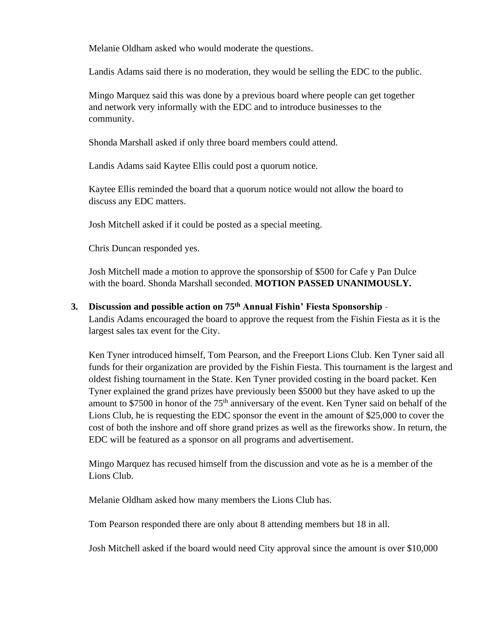Melanie Oldham asked who would moderate the questions.

Landis Adams said there is no moderation, they would be selling the EDC to the public.

Mingo Marquez said this was done by a previous board where people can get together and network very informally with the EDC and to introduce businesses to the community.

Shonda Marshall asked if only three board members could attend.

Landis Adams said Kaytee Ellis could post a quorum notice.

Kaytee Ellis reminded the board that a quorum notice would not allow the board to discuss any EDC matters.

Josh Mitchell asked if it could be posted as a special meeting.

Chris Duncan responded yes.

Josh Mitchell made a motion to approve the sponsorship of \$500 for Cafe y Pan Dulce with the board. Shonda Marshall seconded. **MOTION PASSED UNANIMOUSLY.**

# **3. Discussion and possible action on 75th Annual Fishin' Fiesta Sponsorship -**

Landis Adams encouraged the board to approve the request from the Fishin Fiesta as it is the largest sales tax event for the City.

Ken Tyner introduced himself, Tom Pearson, and the Freeport Lions Club. Ken Tyner said all funds for their organization are provided by the Fishin Fiesta. This tournament is the largest and oldest fishing tournament in the State. Ken Tyner provided costing in the board packet. Ken Tyner explained the grand prizes have previously been \$5000 but they have asked to up the amount to \$7500 in honor of the 75<sup>th</sup> anniversary of the event. Ken Tyner said on behalf of the Lions Club, he is requesting the EDC sponsor the event in the amount of \$25,000 to cover the cost of both the inshore and off shore grand prizes as well as the fireworks show. In return, the EDC will be featured as a sponsor on all programs and advertisement.

Mingo Marquez has recused himself from the discussion and vote as he is a member of the Lions Club.

Melanie Oldham asked how many members the Lions Club has.

Tom Pearson responded there are only about 8 attending members but 18 in all.

Josh Mitchell asked if the board would need City approval since the amount is over \$10,000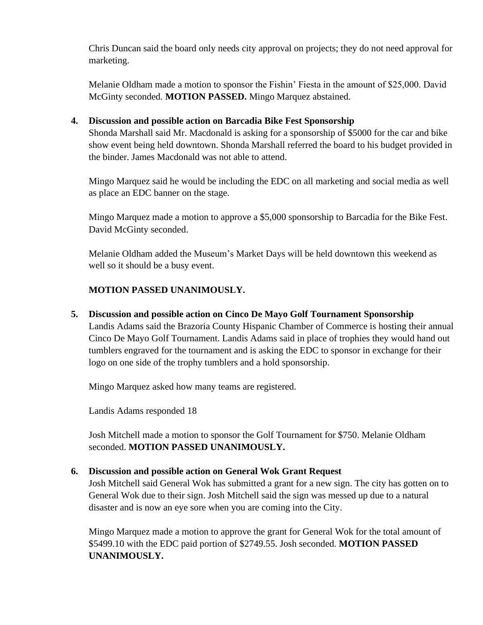Chris Duncan said the board only needs city approval on projects; they do not need approval for marketing.

Melanie Oldham made a motion to sponsor the Fishin' Fiesta in the amount of \$25,000. David McGinty seconded. **MOTION PASSED.** Mingo Marquez abstained.

### **4. Discussion and possible action on Barcadia Bike Fest Sponsorship**

Shonda Marshall said Mr. Macdonald is asking for a sponsorship of \$5000 for the car and bike show event being held downtown. Shonda Marshall referred the board to his budget provided in the binder. James Macdonald was not able to attend.

Mingo Marquez said he would be including the EDC on all marketing and social media as well as place an EDC banner on the stage.

Mingo Marquez made a motion to approve a \$5,000 sponsorship to Barcadia for the Bike Fest. David McGinty seconded.

Melanie Oldham added the Museum's Market Days will be held downtown this weekend as well so it should be a busy event.

# **MOTION PASSED UNANIMOUSLY.**

**5. Discussion and possible action on Cinco De Mayo Golf Tournament Sponsorship** Landis Adams said the Brazoria County Hispanic Chamber of Commerce is hosting their annual Cinco De Mayo Golf Tournament. Landis Adams said in place of trophies they would hand out tumblers engraved for the tournament and is asking the EDC to sponsor in exchange for their logo on one side of the trophy tumblers and a hold sponsorship.

Mingo Marquez asked how many teams are registered.

Landis Adams responded 18

Josh Mitchell made a motion to sponsor the Golf Tournament for \$750. Melanie Oldham seconded. **MOTION PASSED UNANIMOUSLY.**

# **6. Discussion and possible action on General Wok Grant Request**

Josh Mitchell said General Wok has submitted a grant for a new sign. The city has gotten on to General Wok due to their sign. Josh Mitchell said the sign was messed up due to a natural disaster and is now an eye sore when you are coming into the City.

Mingo Marquez made a motion to approve the grant for General Wok for the total amount of \$5499.10 with the EDC paid portion of \$2749.55. Josh seconded. **MOTION PASSED UNANIMOUSLY.**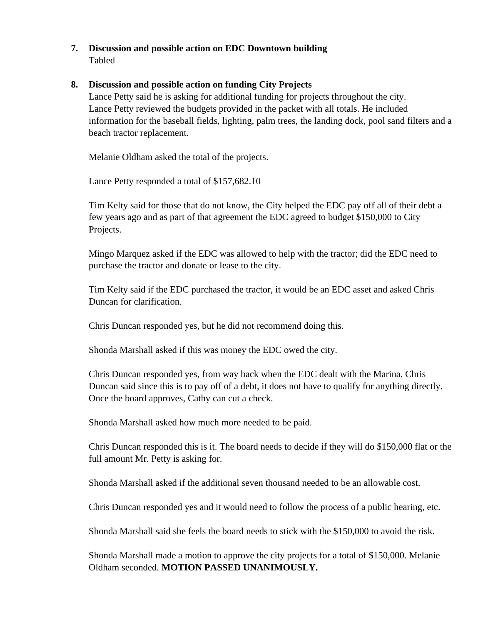### **7. Discussion and possible action on EDC Downtown building** Tabled

### **8. Discussion and possible action on funding City Projects**

Lance Petty said he is asking for additional funding for projects throughout the city. Lance Petty reviewed the budgets provided in the packet with all totals. He included information for the baseball fields, lighting, palm trees, the landing dock, pool sand filters and a beach tractor replacement.

Melanie Oldham asked the total of the projects.

Lance Petty responded a total of \$157,682.10

Tim Kelty said for those that do not know, the City helped the EDC pay off all of their debt a few years ago and as part of that agreement the EDC agreed to budget \$150,000 to City Projects.

Mingo Marquez asked if the EDC was allowed to help with the tractor; did the EDC need to purchase the tractor and donate or lease to the city.

Tim Kelty said if the EDC purchased the tractor, it would be an EDC asset and asked Chris Duncan for clarification.

Chris Duncan responded yes, but he did not recommend doing this.

Shonda Marshall asked if this was money the EDC owed the city.

Chris Duncan responded yes, from way back when the EDC dealt with the Marina. Chris Duncan said since this is to pay off of a debt, it does not have to qualify for anything directly. Once the board approves, Cathy can cut a check.

Shonda Marshall asked how much more needed to be paid.

Chris Duncan responded this is it. The board needs to decide if they will do \$150,000 flat or the full amount Mr. Petty is asking for.

Shonda Marshall asked if the additional seven thousand needed to be an allowable cost.

Chris Duncan responded yes and it would need to follow the process of a public hearing, etc.

Shonda Marshall said she feels the board needs to stick with the \$150,000 to avoid the risk.

Shonda Marshall made a motion to approve the city projects for a total of \$150,000. Melanie Oldham seconded. **MOTION PASSED UNANIMOUSLY.**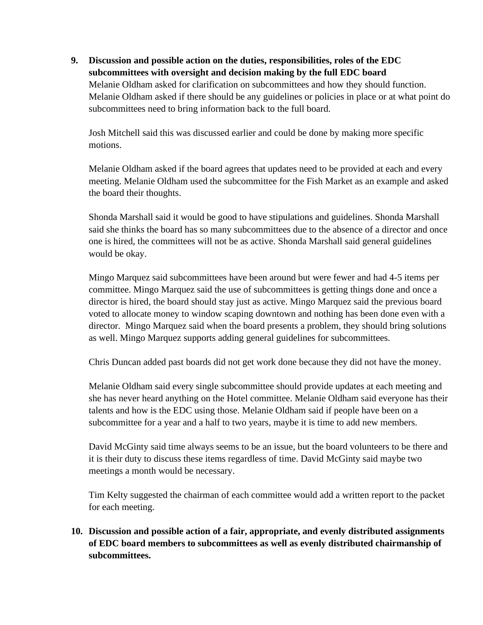**9. Discussion and possible action on the duties, responsibilities, roles of the EDC subcommittees with oversight and decision making by the full EDC board** Melanie Oldham asked for clarification on subcommittees and how they should function. Melanie Oldham asked if there should be any guidelines or policies in place or at what point do subcommittees need to bring information back to the full board.

Josh Mitchell said this was discussed earlier and could be done by making more specific motions.

Melanie Oldham asked if the board agrees that updates need to be provided at each and every meeting. Melanie Oldham used the subcommittee for the Fish Market as an example and asked the board their thoughts.

Shonda Marshall said it would be good to have stipulations and guidelines. Shonda Marshall said she thinks the board has so many subcommittees due to the absence of a director and once one is hired, the committees will not be as active. Shonda Marshall said general guidelines would be okay.

Mingo Marquez said subcommittees have been around but were fewer and had 4-5 items per committee. Mingo Marquez said the use of subcommittees is getting things done and once a director is hired, the board should stay just as active. Mingo Marquez said the previous board voted to allocate money to window scaping downtown and nothing has been done even with a director. Mingo Marquez said when the board presents a problem, they should bring solutions as well. Mingo Marquez supports adding general guidelines for subcommittees.

Chris Duncan added past boards did not get work done because they did not have the money.

Melanie Oldham said every single subcommittee should provide updates at each meeting and she has never heard anything on the Hotel committee. Melanie Oldham said everyone has their talents and how is the EDC using those. Melanie Oldham said if people have been on a subcommittee for a year and a half to two years, maybe it is time to add new members.

David McGinty said time always seems to be an issue, but the board volunteers to be there and it is their duty to discuss these items regardless of time. David McGinty said maybe two meetings a month would be necessary.

Tim Kelty suggested the chairman of each committee would add a written report to the packet for each meeting.

**10. Discussion and possible action of a fair, appropriate, and evenly distributed assignments of EDC board members to subcommittees as well as evenly distributed chairmanship of subcommittees.**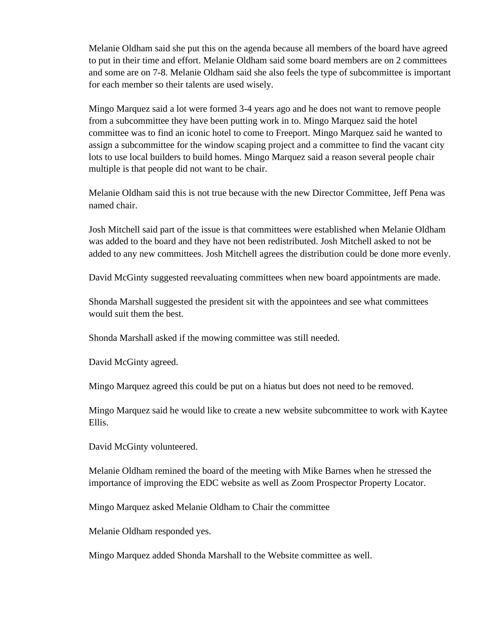Melanie Oldham said she put this on the agenda because all members of the board have agreed to put in their time and effort. Melanie Oldham said some board members are on 2 committees and some are on 7-8. Melanie Oldham said she also feels the type of subcommittee is important for each member so their talents are used wisely.

Mingo Marquez said a lot were formed 3-4 years ago and he does not want to remove people from a subcommittee they have been putting work in to. Mingo Marquez said the hotel committee was to find an iconic hotel to come to Freeport. Mingo Marquez said he wanted to assign a subcommittee for the window scaping project and a committee to find the vacant city lots to use local builders to build homes. Mingo Marquez said a reason several people chair multiple is that people did not want to be chair.

Melanie Oldham said this is not true because with the new Director Committee, Jeff Pena was named chair.

Josh Mitchell said part of the issue is that committees were established when Melanie Oldham was added to the board and they have not been redistributed. Josh Mitchell asked to not be added to any new committees. Josh Mitchell agrees the distribution could be done more evenly.

David McGinty suggested reevaluating committees when new board appointments are made.

Shonda Marshall suggested the president sit with the appointees and see what committees would suit them the best.

Shonda Marshall asked if the mowing committee was still needed.

David McGinty agreed.

Mingo Marquez agreed this could be put on a hiatus but does not need to be removed.

Mingo Marquez said he would like to create a new website subcommittee to work with Kaytee Ellis.

David McGinty volunteered.

Melanie Oldham remined the board of the meeting with Mike Barnes when he stressed the importance of improving the EDC website as well as Zoom Prospector Property Locator.

Mingo Marquez asked Melanie Oldham to Chair the committee

Melanie Oldham responded yes.

Mingo Marquez added Shonda Marshall to the Website committee as well.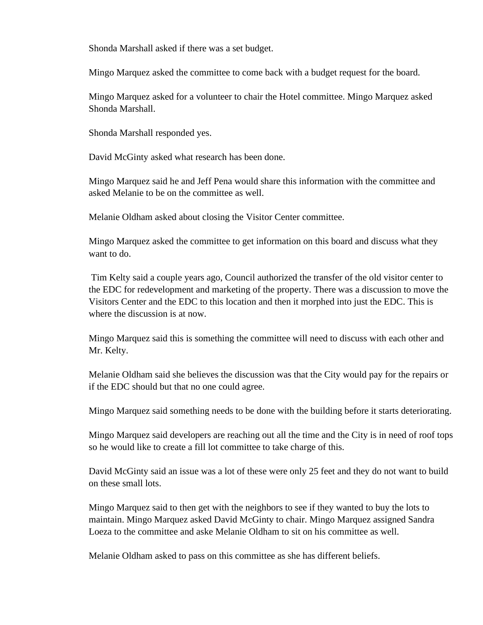Shonda Marshall asked if there was a set budget.

Mingo Marquez asked the committee to come back with a budget request for the board.

Mingo Marquez asked for a volunteer to chair the Hotel committee. Mingo Marquez asked Shonda Marshall.

Shonda Marshall responded yes.

David McGinty asked what research has been done.

Mingo Marquez said he and Jeff Pena would share this information with the committee and asked Melanie to be on the committee as well.

Melanie Oldham asked about closing the Visitor Center committee.

Mingo Marquez asked the committee to get information on this board and discuss what they want to do.

Tim Kelty said a couple years ago, Council authorized the transfer of the old visitor center to the EDC for redevelopment and marketing of the property. There was a discussion to move the Visitors Center and the EDC to this location and then it morphed into just the EDC. This is where the discussion is at now.

Mingo Marquez said this is something the committee will need to discuss with each other and Mr. Kelty.

Melanie Oldham said she believes the discussion was that the City would pay for the repairs or if the EDC should but that no one could agree.

Mingo Marquez said something needs to be done with the building before it starts deteriorating.

Mingo Marquez said developers are reaching out all the time and the City is in need of roof tops so he would like to create a fill lot committee to take charge of this.

David McGinty said an issue was a lot of these were only 25 feet and they do not want to build on these small lots.

Mingo Marquez said to then get with the neighbors to see if they wanted to buy the lots to maintain. Mingo Marquez asked David McGinty to chair. Mingo Marquez assigned Sandra Loeza to the committee and aske Melanie Oldham to sit on his committee as well.

Melanie Oldham asked to pass on this committee as she has different beliefs.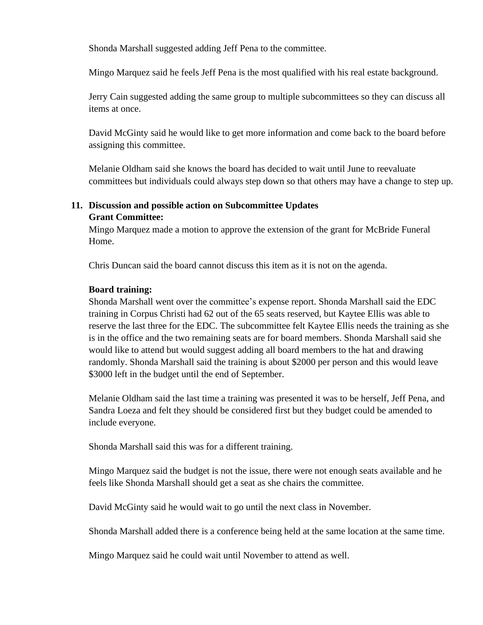Shonda Marshall suggested adding Jeff Pena to the committee.

Mingo Marquez said he feels Jeff Pena is the most qualified with his real estate background.

Jerry Cain suggested adding the same group to multiple subcommittees so they can discuss all items at once.

David McGinty said he would like to get more information and come back to the board before assigning this committee.

Melanie Oldham said she knows the board has decided to wait until June to reevaluate committees but individuals could always step down so that others may have a change to step up.

### **11. Discussion and possible action on Subcommittee Updates Grant Committee:**

Mingo Marquez made a motion to approve the extension of the grant for McBride Funeral Home.

Chris Duncan said the board cannot discuss this item as it is not on the agenda.

#### **Board training:**

Shonda Marshall went over the committee's expense report. Shonda Marshall said the EDC training in Corpus Christi had 62 out of the 65 seats reserved, but Kaytee Ellis was able to reserve the last three for the EDC. The subcommittee felt Kaytee Ellis needs the training as she is in the office and the two remaining seats are for board members. Shonda Marshall said she would like to attend but would suggest adding all board members to the hat and drawing randomly. Shonda Marshall said the training is about \$2000 per person and this would leave \$3000 left in the budget until the end of September.

Melanie Oldham said the last time a training was presented it was to be herself, Jeff Pena, and Sandra Loeza and felt they should be considered first but they budget could be amended to include everyone.

Shonda Marshall said this was for a different training.

Mingo Marquez said the budget is not the issue, there were not enough seats available and he feels like Shonda Marshall should get a seat as she chairs the committee.

David McGinty said he would wait to go until the next class in November.

Shonda Marshall added there is a conference being held at the same location at the same time.

Mingo Marquez said he could wait until November to attend as well.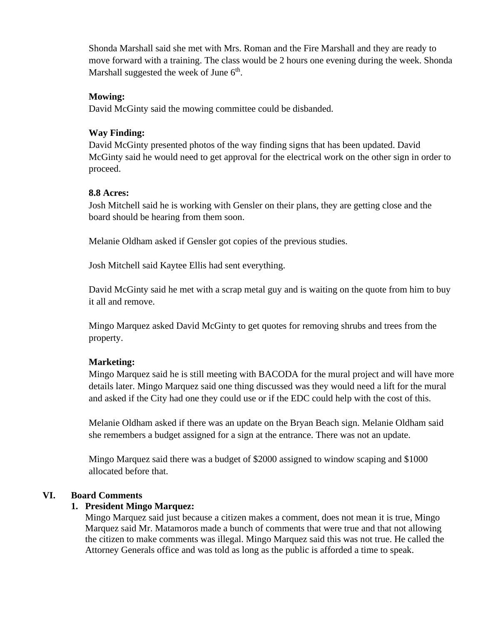Shonda Marshall said she met with Mrs. Roman and the Fire Marshall and they are ready to move forward with a training. The class would be 2 hours one evening during the week. Shonda Marshall suggested the week of June 6<sup>th</sup>.

#### **Mowing:**

David McGinty said the mowing committee could be disbanded.

### **Way Finding:**

David McGinty presented photos of the way finding signs that has been updated. David McGinty said he would need to get approval for the electrical work on the other sign in order to proceed.

### **8.8 Acres:**

Josh Mitchell said he is working with Gensler on their plans, they are getting close and the board should be hearing from them soon.

Melanie Oldham asked if Gensler got copies of the previous studies.

Josh Mitchell said Kaytee Ellis had sent everything.

David McGinty said he met with a scrap metal guy and is waiting on the quote from him to buy it all and remove.

Mingo Marquez asked David McGinty to get quotes for removing shrubs and trees from the property.

# **Marketing:**

Mingo Marquez said he is still meeting with BACODA for the mural project and will have more details later. Mingo Marquez said one thing discussed was they would need a lift for the mural and asked if the City had one they could use or if the EDC could help with the cost of this.

Melanie Oldham asked if there was an update on the Bryan Beach sign. Melanie Oldham said she remembers a budget assigned for a sign at the entrance. There was not an update.

Mingo Marquez said there was a budget of \$2000 assigned to window scaping and \$1000 allocated before that.

# **VI. Board Comments**

### **1. President Mingo Marquez:**

Mingo Marquez said just because a citizen makes a comment, does not mean it is true, Mingo Marquez said Mr. Matamoros made a bunch of comments that were true and that not allowing the citizen to make comments was illegal. Mingo Marquez said this was not true. He called the Attorney Generals office and was told as long as the public is afforded a time to speak.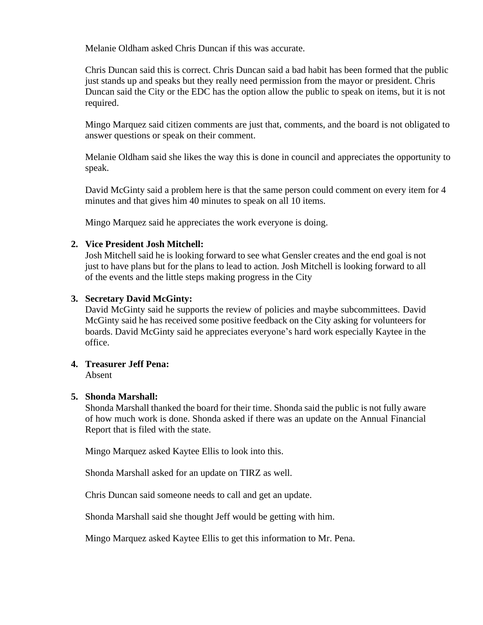Melanie Oldham asked Chris Duncan if this was accurate.

Chris Duncan said this is correct. Chris Duncan said a bad habit has been formed that the public just stands up and speaks but they really need permission from the mayor or president. Chris Duncan said the City or the EDC has the option allow the public to speak on items, but it is not required.

Mingo Marquez said citizen comments are just that, comments, and the board is not obligated to answer questions or speak on their comment.

Melanie Oldham said she likes the way this is done in council and appreciates the opportunity to speak.

David McGinty said a problem here is that the same person could comment on every item for 4 minutes and that gives him 40 minutes to speak on all 10 items.

Mingo Marquez said he appreciates the work everyone is doing.

### **2. Vice President Josh Mitchell:**

Josh Mitchell said he is looking forward to see what Gensler creates and the end goal is not just to have plans but for the plans to lead to action. Josh Mitchell is looking forward to all of the events and the little steps making progress in the City

#### **3. Secretary David McGinty:**

David McGinty said he supports the review of policies and maybe subcommittees. David McGinty said he has received some positive feedback on the City asking for volunteers for boards. David McGinty said he appreciates everyone's hard work especially Kaytee in the office.

### **4. Treasurer Jeff Pena:**

Absent

#### **5. Shonda Marshall:**

Shonda Marshall thanked the board for their time. Shonda said the public is not fully aware of how much work is done. Shonda asked if there was an update on the Annual Financial Report that is filed with the state.

Mingo Marquez asked Kaytee Ellis to look into this.

Shonda Marshall asked for an update on TIRZ as well.

Chris Duncan said someone needs to call and get an update.

Shonda Marshall said she thought Jeff would be getting with him.

Mingo Marquez asked Kaytee Ellis to get this information to Mr. Pena.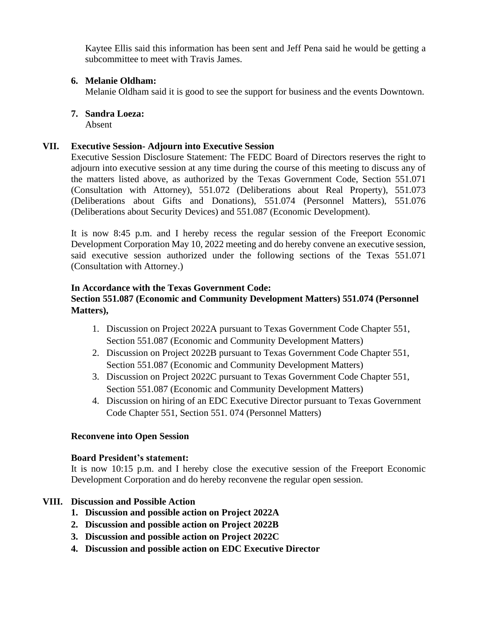Kaytee Ellis said this information has been sent and Jeff Pena said he would be getting a subcommittee to meet with Travis James.

### **6. Melanie Oldham:**

Melanie Oldham said it is good to see the support for business and the events Downtown.

#### **7. Sandra Loeza:**

Absent

#### **VII. Executive Session- Adjourn into Executive Session**

Executive Session Disclosure Statement: The FEDC Board of Directors reserves the right to adjourn into executive session at any time during the course of this meeting to discuss any of the matters listed above, as authorized by the Texas Government Code, Section 551.071 (Consultation with Attorney), 551.072 (Deliberations about Real Property), 551.073 (Deliberations about Gifts and Donations), 551.074 (Personnel Matters), 551.076 (Deliberations about Security Devices) and 551.087 (Economic Development).

It is now 8:45 p.m. and I hereby recess the regular session of the Freeport Economic Development Corporation May 10, 2022 meeting and do hereby convene an executive session, said executive session authorized under the following sections of the Texas 551.071 (Consultation with Attorney.)

#### **In Accordance with the Texas Government Code:**

### **Section 551.087 (Economic and Community Development Matters) 551.074 (Personnel Matters),**

- 1. Discussion on Project 2022A pursuant to Texas Government Code Chapter 551, Section 551.087 (Economic and Community Development Matters)
- 2. Discussion on Project 2022B pursuant to Texas Government Code Chapter 551, Section 551.087 (Economic and Community Development Matters)
- 3. Discussion on Project 2022C pursuant to Texas Government Code Chapter 551, Section 551.087 (Economic and Community Development Matters)
- 4. Discussion on hiring of an EDC Executive Director pursuant to Texas Government Code Chapter 551, Section 551. 074 (Personnel Matters)

#### **Reconvene into Open Session**

#### **Board President's statement:**

It is now 10:15 p.m. and I hereby close the executive session of the Freeport Economic Development Corporation and do hereby reconvene the regular open session.

### **VIII. Discussion and Possible Action**

- **1. Discussion and possible action on Project 2022A**
- **2. Discussion and possible action on Project 2022B**
- **3. Discussion and possible action on Project 2022C**
- **4. Discussion and possible action on EDC Executive Director**